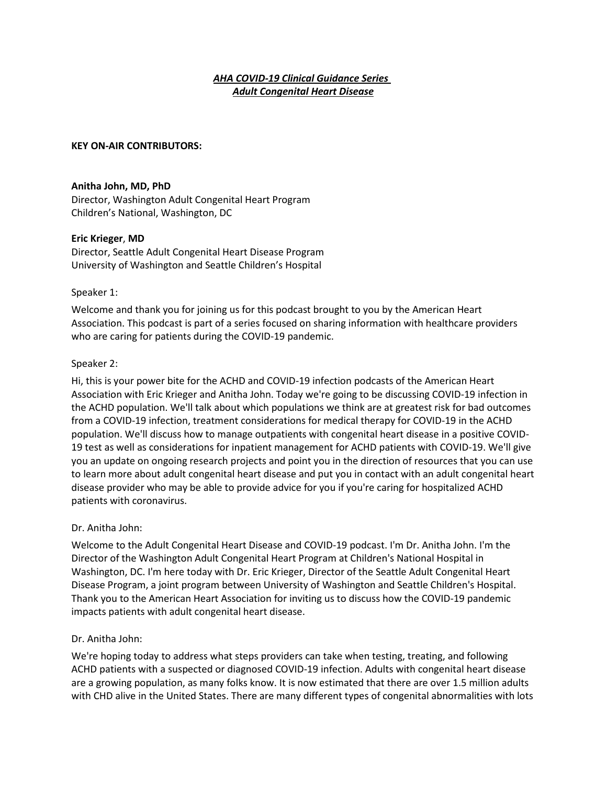# *AHA COVID-19 Clinical Guidance Series Adult Congenital Heart Disease*

#### **KEY ON-AIR CONTRIBUTORS:**

#### **Anitha John, MD, PhD**

Director, Washington Adult Congenital Heart Program Children's National, Washington, DC

#### **Eric Krieger**, **MD**

Director, Seattle Adult Congenital Heart Disease Program University of Washington and Seattle Children's Hospital

#### Speaker 1:

Welcome and thank you for joining us for this podcast brought to you by the American Heart Association. This podcast is part of a series focused on sharing information with healthcare providers who are caring for patients during the COVID-19 pandemic.

#### Speaker 2:

Hi, this is your power bite for the ACHD and COVID-19 infection podcasts of the American Heart Association with Eric Krieger and Anitha John. Today we're going to be discussing COVID-19 infection in the ACHD population. We'll talk about which populations we think are at greatest risk for bad outcomes from a COVID-19 infection, treatment considerations for medical therapy for COVID-19 in the ACHD population. We'll discuss how to manage outpatients with congenital heart disease in a positive COVID-19 test as well as considerations for inpatient management for ACHD patients with COVID-19. We'll give you an update on ongoing research projects and point you in the direction of resources that you can use to learn more about adult congenital heart disease and put you in contact with an adult congenital heart disease provider who may be able to provide advice for you if you're caring for hospitalized ACHD patients with coronavirus.

# Dr. Anitha John:

Welcome to the Adult Congenital Heart Disease and COVID-19 podcast. I'm Dr. Anitha John. I'm the Director of the Washington Adult Congenital Heart Program at Children's National Hospital in Washington, DC. I'm here today with Dr. Eric Krieger, Director of the Seattle Adult Congenital Heart Disease Program, a joint program between University of Washington and Seattle Children's Hospital. Thank you to the American Heart Association for inviting us to discuss how the COVID-19 pandemic impacts patients with adult congenital heart disease.

#### Dr. Anitha John:

We're hoping today to address what steps providers can take when testing, treating, and following ACHD patients with a suspected or diagnosed COVID-19 infection. Adults with congenital heart disease are a growing population, as many folks know. It is now estimated that there are over 1.5 million adults with CHD alive in the United States. There are many different types of congenital abnormalities with lots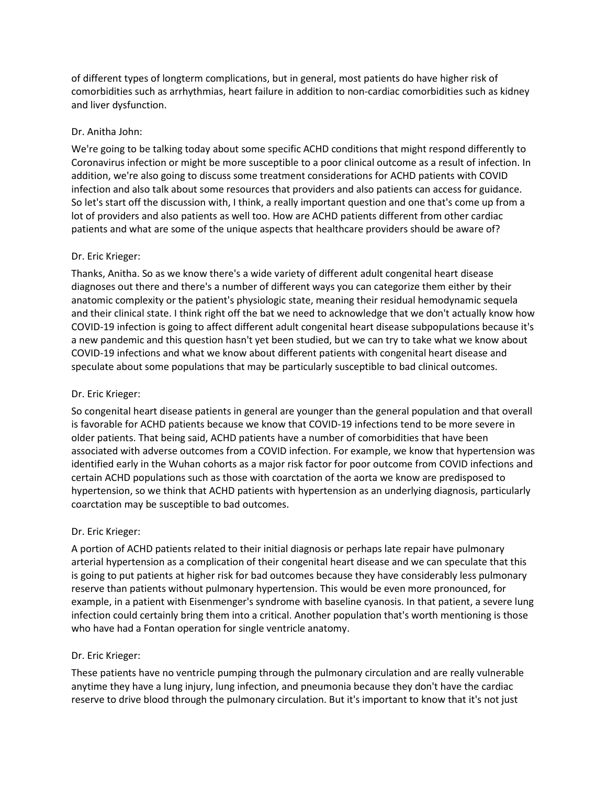of different types of longterm complications, but in general, most patients do have higher risk of comorbidities such as arrhythmias, heart failure in addition to non-cardiac comorbidities such as kidney and liver dysfunction.

# Dr. Anitha John:

We're going to be talking today about some specific ACHD conditions that might respond differently to Coronavirus infection or might be more susceptible to a poor clinical outcome as a result of infection. In addition, we're also going to discuss some treatment considerations for ACHD patients with COVID infection and also talk about some resources that providers and also patients can access for guidance. So let's start off the discussion with, I think, a really important question and one that's come up from a lot of providers and also patients as well too. How are ACHD patients different from other cardiac patients and what are some of the unique aspects that healthcare providers should be aware of?

# Dr. Eric Krieger:

Thanks, Anitha. So as we know there's a wide variety of different adult congenital heart disease diagnoses out there and there's a number of different ways you can categorize them either by their anatomic complexity or the patient's physiologic state, meaning their residual hemodynamic sequela and their clinical state. I think right off the bat we need to acknowledge that we don't actually know how COVID-19 infection is going to affect different adult congenital heart disease subpopulations because it's a new pandemic and this question hasn't yet been studied, but we can try to take what we know about COVID-19 infections and what we know about different patients with congenital heart disease and speculate about some populations that may be particularly susceptible to bad clinical outcomes.

# Dr. Eric Krieger:

So congenital heart disease patients in general are younger than the general population and that overall is favorable for ACHD patients because we know that COVID-19 infections tend to be more severe in older patients. That being said, ACHD patients have a number of comorbidities that have been associated with adverse outcomes from a COVID infection. For example, we know that hypertension was identified early in the Wuhan cohorts as a major risk factor for poor outcome from COVID infections and certain ACHD populations such as those with coarctation of the aorta we know are predisposed to hypertension, so we think that ACHD patients with hypertension as an underlying diagnosis, particularly coarctation may be susceptible to bad outcomes.

# Dr. Eric Krieger:

A portion of ACHD patients related to their initial diagnosis or perhaps late repair have pulmonary arterial hypertension as a complication of their congenital heart disease and we can speculate that this is going to put patients at higher risk for bad outcomes because they have considerably less pulmonary reserve than patients without pulmonary hypertension. This would be even more pronounced, for example, in a patient with Eisenmenger's syndrome with baseline cyanosis. In that patient, a severe lung infection could certainly bring them into a critical. Another population that's worth mentioning is those who have had a Fontan operation for single ventricle anatomy.

# Dr. Eric Krieger:

These patients have no ventricle pumping through the pulmonary circulation and are really vulnerable anytime they have a lung injury, lung infection, and pneumonia because they don't have the cardiac reserve to drive blood through the pulmonary circulation. But it's important to know that it's not just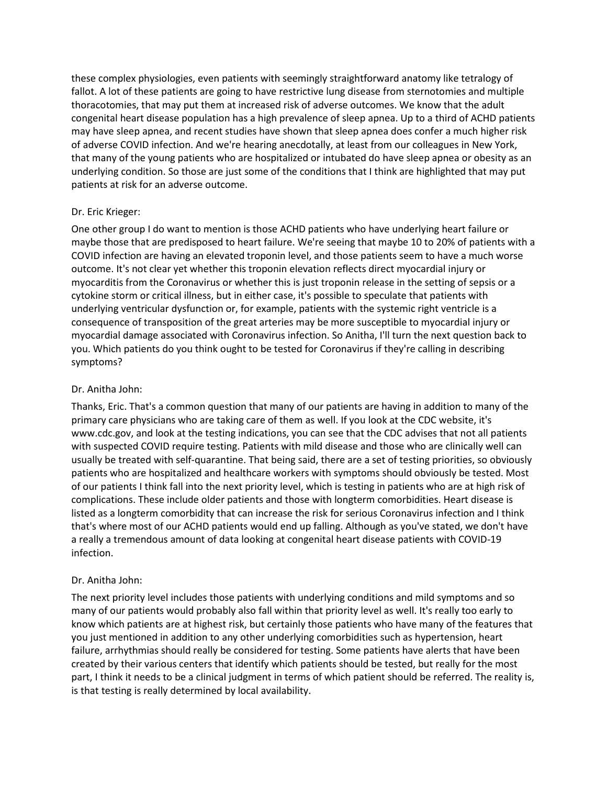these complex physiologies, even patients with seemingly straightforward anatomy like tetralogy of fallot. A lot of these patients are going to have restrictive lung disease from sternotomies and multiple thoracotomies, that may put them at increased risk of adverse outcomes. We know that the adult congenital heart disease population has a high prevalence of sleep apnea. Up to a third of ACHD patients may have sleep apnea, and recent studies have shown that sleep apnea does confer a much higher risk of adverse COVID infection. And we're hearing anecdotally, at least from our colleagues in New York, that many of the young patients who are hospitalized or intubated do have sleep apnea or obesity as an underlying condition. So those are just some of the conditions that I think are highlighted that may put patients at risk for an adverse outcome.

# Dr. Eric Krieger:

One other group I do want to mention is those ACHD patients who have underlying heart failure or maybe those that are predisposed to heart failure. We're seeing that maybe 10 to 20% of patients with a COVID infection are having an elevated troponin level, and those patients seem to have a much worse outcome. It's not clear yet whether this troponin elevation reflects direct myocardial injury or myocarditis from the Coronavirus or whether this is just troponin release in the setting of sepsis or a cytokine storm or critical illness, but in either case, it's possible to speculate that patients with underlying ventricular dysfunction or, for example, patients with the systemic right ventricle is a consequence of transposition of the great arteries may be more susceptible to myocardial injury or myocardial damage associated with Coronavirus infection. So Anitha, I'll turn the next question back to you. Which patients do you think ought to be tested for Coronavirus if they're calling in describing symptoms?

# Dr. Anitha John:

Thanks, Eric. That's a common question that many of our patients are having in addition to many of the primary care physicians who are taking care of them as well. If you look at the CDC website, it's www.cdc.gov, and look at the testing indications, you can see that the CDC advises that not all patients with suspected COVID require testing. Patients with mild disease and those who are clinically well can usually be treated with self-quarantine. That being said, there are a set of testing priorities, so obviously patients who are hospitalized and healthcare workers with symptoms should obviously be tested. Most of our patients I think fall into the next priority level, which is testing in patients who are at high risk of complications. These include older patients and those with longterm comorbidities. Heart disease is listed as a longterm comorbidity that can increase the risk for serious Coronavirus infection and I think that's where most of our ACHD patients would end up falling. Although as you've stated, we don't have a really a tremendous amount of data looking at congenital heart disease patients with COVID-19 infection.

# Dr. Anitha John:

The next priority level includes those patients with underlying conditions and mild symptoms and so many of our patients would probably also fall within that priority level as well. It's really too early to know which patients are at highest risk, but certainly those patients who have many of the features that you just mentioned in addition to any other underlying comorbidities such as hypertension, heart failure, arrhythmias should really be considered for testing. Some patients have alerts that have been created by their various centers that identify which patients should be tested, but really for the most part, I think it needs to be a clinical judgment in terms of which patient should be referred. The reality is, is that testing is really determined by local availability.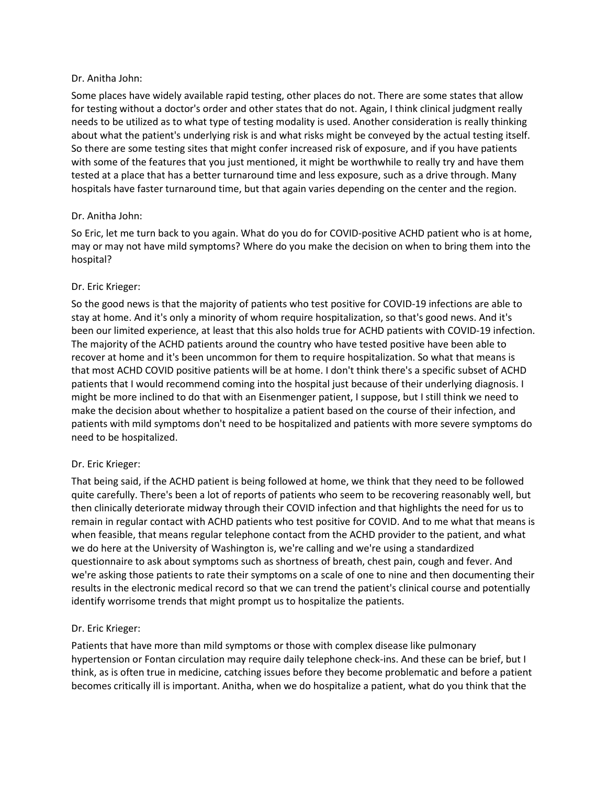# Dr. Anitha John:

Some places have widely available rapid testing, other places do not. There are some states that allow for testing without a doctor's order and other states that do not. Again, I think clinical judgment really needs to be utilized as to what type of testing modality is used. Another consideration is really thinking about what the patient's underlying risk is and what risks might be conveyed by the actual testing itself. So there are some testing sites that might confer increased risk of exposure, and if you have patients with some of the features that you just mentioned, it might be worthwhile to really try and have them tested at a place that has a better turnaround time and less exposure, such as a drive through. Many hospitals have faster turnaround time, but that again varies depending on the center and the region.

# Dr. Anitha John:

So Eric, let me turn back to you again. What do you do for COVID-positive ACHD patient who is at home, may or may not have mild symptoms? Where do you make the decision on when to bring them into the hospital?

#### Dr. Eric Krieger:

So the good news is that the majority of patients who test positive for COVID-19 infections are able to stay at home. And it's only a minority of whom require hospitalization, so that's good news. And it's been our limited experience, at least that this also holds true for ACHD patients with COVID-19 infection. The majority of the ACHD patients around the country who have tested positive have been able to recover at home and it's been uncommon for them to require hospitalization. So what that means is that most ACHD COVID positive patients will be at home. I don't think there's a specific subset of ACHD patients that I would recommend coming into the hospital just because of their underlying diagnosis. I might be more inclined to do that with an Eisenmenger patient, I suppose, but I still think we need to make the decision about whether to hospitalize a patient based on the course of their infection, and patients with mild symptoms don't need to be hospitalized and patients with more severe symptoms do need to be hospitalized.

# Dr. Eric Krieger:

That being said, if the ACHD patient is being followed at home, we think that they need to be followed quite carefully. There's been a lot of reports of patients who seem to be recovering reasonably well, but then clinically deteriorate midway through their COVID infection and that highlights the need for us to remain in regular contact with ACHD patients who test positive for COVID. And to me what that means is when feasible, that means regular telephone contact from the ACHD provider to the patient, and what we do here at the University of Washington is, we're calling and we're using a standardized questionnaire to ask about symptoms such as shortness of breath, chest pain, cough and fever. And we're asking those patients to rate their symptoms on a scale of one to nine and then documenting their results in the electronic medical record so that we can trend the patient's clinical course and potentially identify worrisome trends that might prompt us to hospitalize the patients.

# Dr. Eric Krieger:

Patients that have more than mild symptoms or those with complex disease like pulmonary hypertension or Fontan circulation may require daily telephone check-ins. And these can be brief, but I think, as is often true in medicine, catching issues before they become problematic and before a patient becomes critically ill is important. Anitha, when we do hospitalize a patient, what do you think that the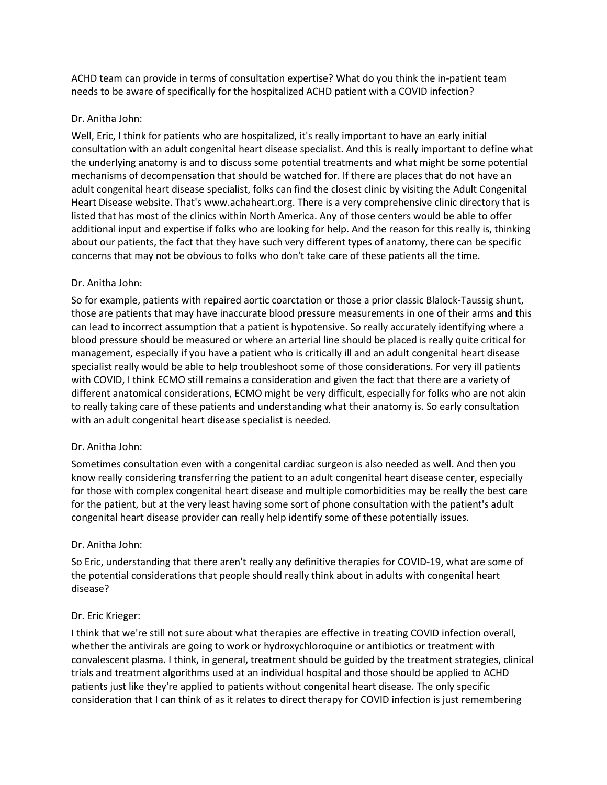ACHD team can provide in terms of consultation expertise? What do you think the in-patient team needs to be aware of specifically for the hospitalized ACHD patient with a COVID infection?

# Dr. Anitha John:

Well, Eric, I think for patients who are hospitalized, it's really important to have an early initial consultation with an adult congenital heart disease specialist. And this is really important to define what the underlying anatomy is and to discuss some potential treatments and what might be some potential mechanisms of decompensation that should be watched for. If there are places that do not have an adult congenital heart disease specialist, folks can find the closest clinic by visiting the Adult Congenital Heart Disease website. That's www.achaheart.org. There is a very comprehensive clinic directory that is listed that has most of the clinics within North America. Any of those centers would be able to offer additional input and expertise if folks who are looking for help. And the reason for this really is, thinking about our patients, the fact that they have such very different types of anatomy, there can be specific concerns that may not be obvious to folks who don't take care of these patients all the time.

# Dr. Anitha John:

So for example, patients with repaired aortic coarctation or those a prior classic Blalock-Taussig shunt, those are patients that may have inaccurate blood pressure measurements in one of their arms and this can lead to incorrect assumption that a patient is hypotensive. So really accurately identifying where a blood pressure should be measured or where an arterial line should be placed is really quite critical for management, especially if you have a patient who is critically ill and an adult congenital heart disease specialist really would be able to help troubleshoot some of those considerations. For very ill patients with COVID, I think ECMO still remains a consideration and given the fact that there are a variety of different anatomical considerations, ECMO might be very difficult, especially for folks who are not akin to really taking care of these patients and understanding what their anatomy is. So early consultation with an adult congenital heart disease specialist is needed.

# Dr. Anitha John:

Sometimes consultation even with a congenital cardiac surgeon is also needed as well. And then you know really considering transferring the patient to an adult congenital heart disease center, especially for those with complex congenital heart disease and multiple comorbidities may be really the best care for the patient, but at the very least having some sort of phone consultation with the patient's adult congenital heart disease provider can really help identify some of these potentially issues.

# Dr. Anitha John:

So Eric, understanding that there aren't really any definitive therapies for COVID-19, what are some of the potential considerations that people should really think about in adults with congenital heart disease?

# Dr. Eric Krieger:

I think that we're still not sure about what therapies are effective in treating COVID infection overall, whether the antivirals are going to work or hydroxychloroquine or antibiotics or treatment with convalescent plasma. I think, in general, treatment should be guided by the treatment strategies, clinical trials and treatment algorithms used at an individual hospital and those should be applied to ACHD patients just like they're applied to patients without congenital heart disease. The only specific consideration that I can think of as it relates to direct therapy for COVID infection is just remembering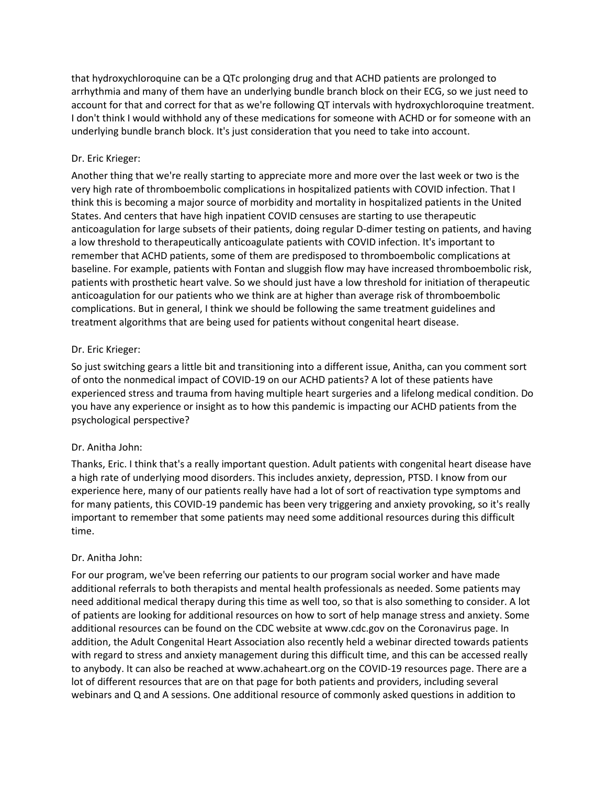that hydroxychloroquine can be a QTc prolonging drug and that ACHD patients are prolonged to arrhythmia and many of them have an underlying bundle branch block on their ECG, so we just need to account for that and correct for that as we're following QT intervals with hydroxychloroquine treatment. I don't think I would withhold any of these medications for someone with ACHD or for someone with an underlying bundle branch block. It's just consideration that you need to take into account.

# Dr. Eric Krieger:

Another thing that we're really starting to appreciate more and more over the last week or two is the very high rate of thromboembolic complications in hospitalized patients with COVID infection. That I think this is becoming a major source of morbidity and mortality in hospitalized patients in the United States. And centers that have high inpatient COVID censuses are starting to use therapeutic anticoagulation for large subsets of their patients, doing regular D-dimer testing on patients, and having a low threshold to therapeutically anticoagulate patients with COVID infection. It's important to remember that ACHD patients, some of them are predisposed to thromboembolic complications at baseline. For example, patients with Fontan and sluggish flow may have increased thromboembolic risk, patients with prosthetic heart valve. So we should just have a low threshold for initiation of therapeutic anticoagulation for our patients who we think are at higher than average risk of thromboembolic complications. But in general, I think we should be following the same treatment guidelines and treatment algorithms that are being used for patients without congenital heart disease.

# Dr. Eric Krieger:

So just switching gears a little bit and transitioning into a different issue, Anitha, can you comment sort of onto the nonmedical impact of COVID-19 on our ACHD patients? A lot of these patients have experienced stress and trauma from having multiple heart surgeries and a lifelong medical condition. Do you have any experience or insight as to how this pandemic is impacting our ACHD patients from the psychological perspective?

# Dr. Anitha John:

Thanks, Eric. I think that's a really important question. Adult patients with congenital heart disease have a high rate of underlying mood disorders. This includes anxiety, depression, PTSD. I know from our experience here, many of our patients really have had a lot of sort of reactivation type symptoms and for many patients, this COVID-19 pandemic has been very triggering and anxiety provoking, so it's really important to remember that some patients may need some additional resources during this difficult time.

# Dr. Anitha John:

For our program, we've been referring our patients to our program social worker and have made additional referrals to both therapists and mental health professionals as needed. Some patients may need additional medical therapy during this time as well too, so that is also something to consider. A lot of patients are looking for additional resources on how to sort of help manage stress and anxiety. Some additional resources can be found on the CDC website at www.cdc.gov on the Coronavirus page. In addition, the Adult Congenital Heart Association also recently held a webinar directed towards patients with regard to stress and anxiety management during this difficult time, and this can be accessed really to anybody. It can also be reached at www.achaheart.org on the COVID-19 resources page. There are a lot of different resources that are on that page for both patients and providers, including several webinars and Q and A sessions. One additional resource of commonly asked questions in addition to